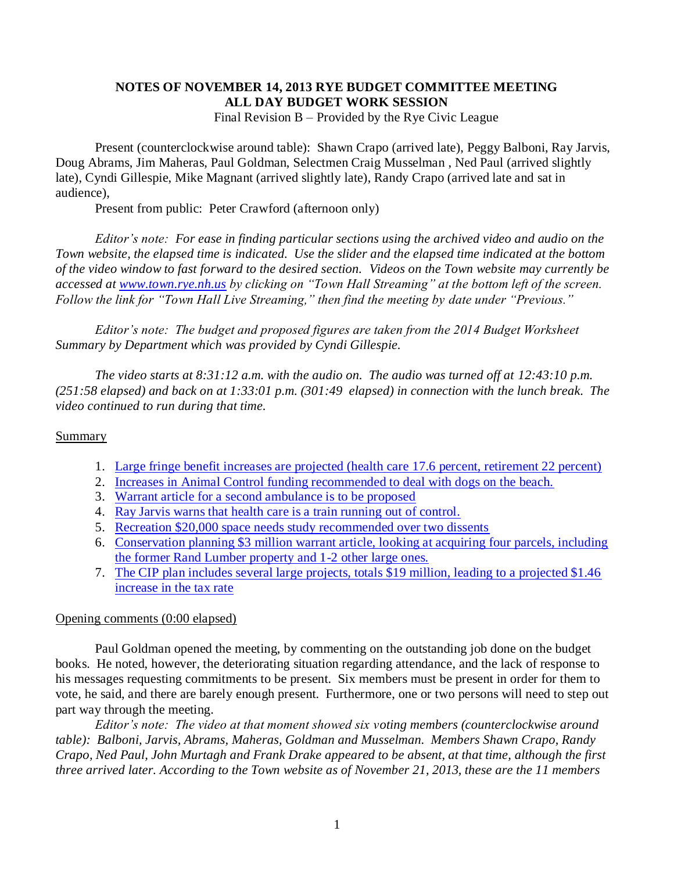# **NOTES OF NOVEMBER 14, 2013 RYE BUDGET COMMITTEE MEETING ALL DAY BUDGET WORK SESSION** Final Revision B – Provided by the Rye Civic League

Present (counterclockwise around table): Shawn Crapo (arrived late), Peggy Balboni, Ray Jarvis, Doug Abrams, Jim Maheras, Paul Goldman, Selectmen Craig Musselman , Ned Paul (arrived slightly late), Cyndi Gillespie, Mike Magnant (arrived slightly late), Randy Crapo (arrived late and sat in audience),

Present from public: Peter Crawford (afternoon only)

*Editor's note: For ease in finding particular sections using the archived video and audio on the Town website, the elapsed time is indicated. Use the slider and the elapsed time indicated at the bottom of the video window to fast forward to the desired section. Videos on the Town website may currently be accessed at [www.town.rye.nh.us](http://www.town.rye.nh.us/) by clicking on "Town Hall Streaming" at the bottom left of the screen. Follow the link for "Town Hall Live Streaming," then find the meeting by date under "Previous."*

*Editor's note: The budget and proposed figures are taken from the 2014 Budget Worksheet Summary by Department which was provided by Cyndi Gillespie.*

*The video starts at 8:31:12 a.m. with the audio on. The audio was turned off at 12:43:10 p.m. (251:58 elapsed) and back on at 1:33:01 p.m. (301:49 elapsed) in connection with the lunch break. The video continued to run during that time.* 

# Summary

- 1. [Large fringe benefit increases are projected \(health care](#page-1-0) 17.6 percent, retirement 22 percent)
- 2. [Increases in Animal Control funding recommended to deal with dogs on the beach.](#page-2-0)
- 3. [Warrant article for a second ambulance is to be proposed](#page-4-0)
- 4. [Ray Jarvis warns that health care is a train running out of control.](#page-5-0)
- 5. [Recreation \\$20,000 space needs study recommended over two dissents](#page-9-0)
- 6. [Conservation planning \\$3 million warrant article, looking at acquiring four parcels, including](#page-13-0)  [the former Rand Lumber property and 1-2 other large ones.](#page-13-0)
- 7. [The CIP plan includes several large projects, totals \\$19 million, leading to a projected \\$1.46](#page-19-0)  [increase in the tax rate](#page-19-0)

# Opening comments (0:00 elapsed)

Paul Goldman opened the meeting, by commenting on the outstanding job done on the budget books. He noted, however, the deteriorating situation regarding attendance, and the lack of response to his messages requesting commitments to be present. Six members must be present in order for them to vote, he said, and there are barely enough present. Furthermore, one or two persons will need to step out part way through the meeting.

*Editor's note: The video at that moment showed six voting members (counterclockwise around table): Balboni, Jarvis, Abrams, Maheras, Goldman and Musselman. Members Shawn Crapo, Randy Crapo, Ned Paul, John Murtagh and Frank Drake appeared to be absent, at that time, although the first three arrived later. According to the Town website as of November 21, 2013, these are the 11 members*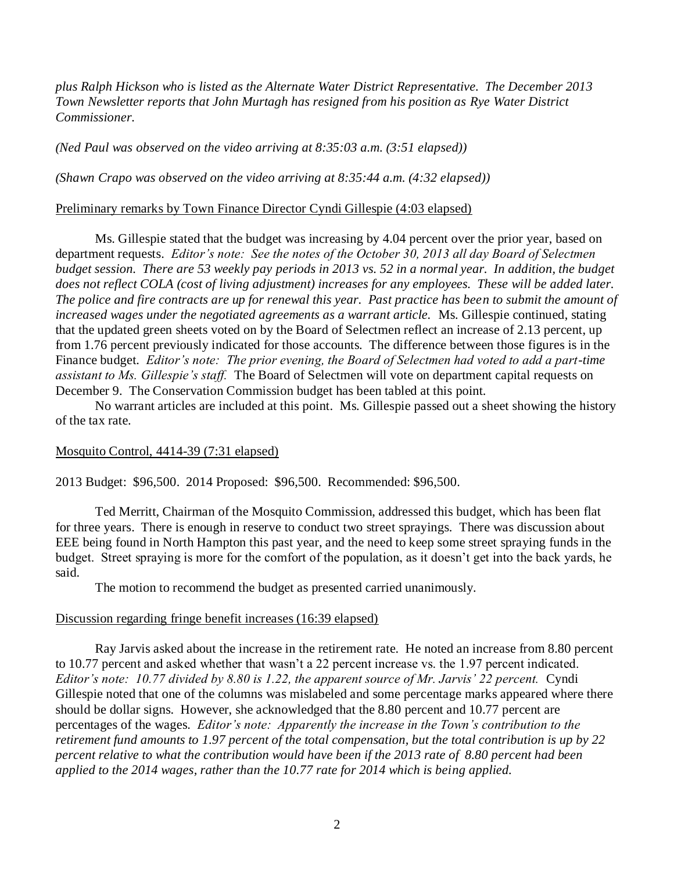*plus Ralph Hickson who is listed as the Alternate Water District Representative. The December 2013 Town Newsletter reports that John Murtagh has resigned from his position as Rye Water District Commissioner.*

*(Ned Paul was observed on the video arriving at 8:35:03 a.m. (3:51 elapsed))*

*(Shawn Crapo was observed on the video arriving at 8:35:44 a.m. (4:32 elapsed))*

# Preliminary remarks by Town Finance Director Cyndi Gillespie (4:03 elapsed)

Ms. Gillespie stated that the budget was increasing by 4.04 percent over the prior year, based on department requests. *Editor's note: See the notes of the October 30, 2013 all day Board of Selectmen budget session. There are 53 weekly pay periods in 2013 vs. 52 in a normal year. In addition, the budget does not reflect COLA (cost of living adjustment) increases for any employees. These will be added later. The police and fire contracts are up for renewal this year. Past practice has been to submit the amount of increased wages under the negotiated agreements as a warrant article.* Ms. Gillespie continued, stating that the updated green sheets voted on by the Board of Selectmen reflect an increase of 2.13 percent, up from 1.76 percent previously indicated for those accounts. The difference between those figures is in the Finance budget. *Editor's note: The prior evening, the Board of Selectmen had voted to add a part-time assistant to Ms. Gillespie's staff.* The Board of Selectmen will vote on department capital requests on December 9. The Conservation Commission budget has been tabled at this point.

No warrant articles are included at this point. Ms. Gillespie passed out a sheet showing the history of the tax rate.

# Mosquito Control, 4414-39 (7:31 elapsed)

2013 Budget: \$96,500. 2014 Proposed: \$96,500. Recommended: \$96,500.

Ted Merritt, Chairman of the Mosquito Commission, addressed this budget, which has been flat for three years. There is enough in reserve to conduct two street sprayings. There was discussion about EEE being found in North Hampton this past year, and the need to keep some street spraying funds in the budget. Street spraying is more for the comfort of the population, as it doesn't get into the back yards, he said.

The motion to recommend the budget as presented carried unanimously.

# <span id="page-1-0"></span>Discussion regarding fringe benefit increases (16:39 elapsed)

Ray Jarvis asked about the increase in the retirement rate. He noted an increase from 8.80 percent to 10.77 percent and asked whether that wasn't a 22 percent increase vs. the 1.97 percent indicated. *Editor's note: 10.77 divided by 8.80 is 1.22, the apparent source of Mr. Jarvis' 22 percent.* Cyndi Gillespie noted that one of the columns was mislabeled and some percentage marks appeared where there should be dollar signs. However, she acknowledged that the 8.80 percent and 10.77 percent are percentages of the wages. *Editor's note: Apparently the increase in the Town's contribution to the retirement fund amounts to 1.97 percent of the total compensation, but the total contribution is up by 22 percent relative to what the contribution would have been if the 2013 rate of 8.80 percent had been applied to the 2014 wages, rather than the 10.77 rate for 2014 which is being applied.*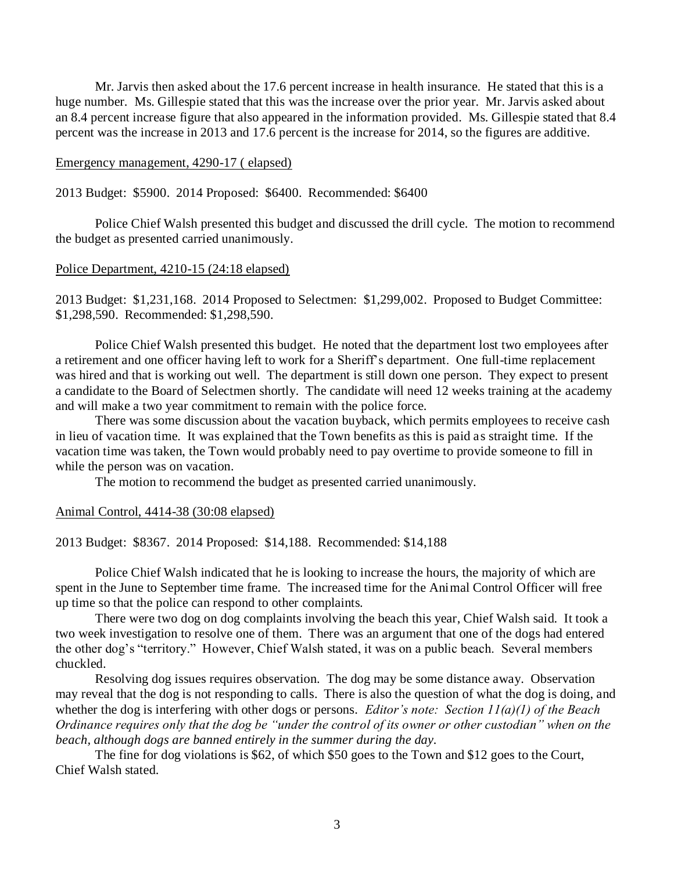Mr. Jarvis then asked about the 17.6 percent increase in health insurance. He stated that this is a huge number. Ms. Gillespie stated that this was the increase over the prior year. Mr. Jarvis asked about an 8.4 percent increase figure that also appeared in the information provided. Ms. Gillespie stated that 8.4 percent was the increase in 2013 and 17.6 percent is the increase for 2014, so the figures are additive.

### Emergency management, 4290-17 ( elapsed)

2013 Budget: \$5900. 2014 Proposed: \$6400. Recommended: \$6400

Police Chief Walsh presented this budget and discussed the drill cycle. The motion to recommend the budget as presented carried unanimously.

### Police Department, 4210-15 (24:18 elapsed)

2013 Budget: \$1,231,168. 2014 Proposed to Selectmen: \$1,299,002. Proposed to Budget Committee: \$1,298,590. Recommended: \$1,298,590.

Police Chief Walsh presented this budget. He noted that the department lost two employees after a retirement and one officer having left to work for a Sheriff's department. One full-time replacement was hired and that is working out well. The department is still down one person. They expect to present a candidate to the Board of Selectmen shortly. The candidate will need 12 weeks training at the academy and will make a two year commitment to remain with the police force.

There was some discussion about the vacation buyback, which permits employees to receive cash in lieu of vacation time. It was explained that the Town benefits as this is paid as straight time. If the vacation time was taken, the Town would probably need to pay overtime to provide someone to fill in while the person was on vacation.

The motion to recommend the budget as presented carried unanimously.

### <span id="page-2-0"></span>Animal Control, 4414-38 (30:08 elapsed)

2013 Budget: \$8367. 2014 Proposed: \$14,188. Recommended: \$14,188

Police Chief Walsh indicated that he is looking to increase the hours, the majority of which are spent in the June to September time frame. The increased time for the Animal Control Officer will free up time so that the police can respond to other complaints.

There were two dog on dog complaints involving the beach this year, Chief Walsh said. It took a two week investigation to resolve one of them. There was an argument that one of the dogs had entered the other dog's "territory." However, Chief Walsh stated, it was on a public beach. Several members chuckled.

Resolving dog issues requires observation. The dog may be some distance away. Observation may reveal that the dog is not responding to calls. There is also the question of what the dog is doing, and whether the dog is interfering with other dogs or persons. *Editor's note: Section 11(a)(1) of the Beach Ordinance requires only that the dog be "under the control of its owner or other custodian" when on the beach, although dogs are banned entirely in the summer during the day.*

The fine for dog violations is \$62, of which \$50 goes to the Town and \$12 goes to the Court, Chief Walsh stated.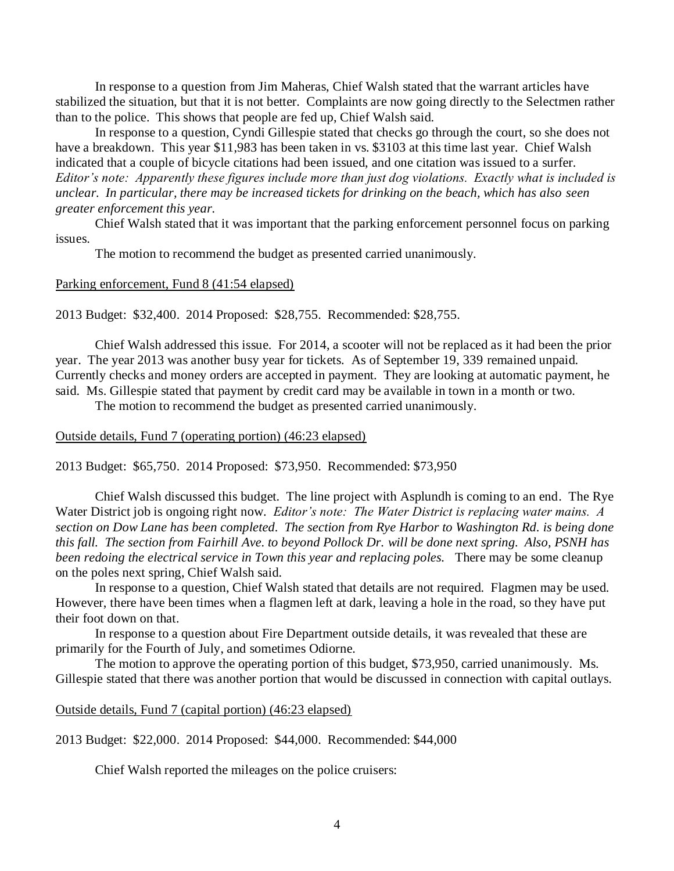In response to a question from Jim Maheras, Chief Walsh stated that the warrant articles have stabilized the situation, but that it is not better. Complaints are now going directly to the Selectmen rather than to the police. This shows that people are fed up, Chief Walsh said.

In response to a question, Cyndi Gillespie stated that checks go through the court, so she does not have a breakdown. This year \$11,983 has been taken in vs. \$3103 at this time last year. Chief Walsh indicated that a couple of bicycle citations had been issued, and one citation was issued to a surfer. *Editor's note: Apparently these figures include more than just dog violations. Exactly what is included is unclear. In particular, there may be increased tickets for drinking on the beach, which has also seen greater enforcement this year.*

Chief Walsh stated that it was important that the parking enforcement personnel focus on parking issues.

The motion to recommend the budget as presented carried unanimously.

## Parking enforcement, Fund 8 (41:54 elapsed)

2013 Budget: \$32,400. 2014 Proposed: \$28,755. Recommended: \$28,755.

Chief Walsh addressed this issue. For 2014, a scooter will not be replaced as it had been the prior year. The year 2013 was another busy year for tickets. As of September 19, 339 remained unpaid. Currently checks and money orders are accepted in payment. They are looking at automatic payment, he said. Ms. Gillespie stated that payment by credit card may be available in town in a month or two.

The motion to recommend the budget as presented carried unanimously.

#### Outside details, Fund 7 (operating portion) (46:23 elapsed)

2013 Budget: \$65,750. 2014 Proposed: \$73,950. Recommended: \$73,950

Chief Walsh discussed this budget. The line project with Asplundh is coming to an end. The Rye Water District job is ongoing right now. *Editor's note: The Water District is replacing water mains. A section on Dow Lane has been completed. The section from Rye Harbor to Washington Rd. is being done this fall. The section from Fairhill Ave. to beyond Pollock Dr. will be done next spring. Also, PSNH has been redoing the electrical service in Town this year and replacing poles.* There may be some cleanup on the poles next spring, Chief Walsh said.

In response to a question, Chief Walsh stated that details are not required. Flagmen may be used. However, there have been times when a flagmen left at dark, leaving a hole in the road, so they have put their foot down on that.

In response to a question about Fire Department outside details, it was revealed that these are primarily for the Fourth of July, and sometimes Odiorne.

The motion to approve the operating portion of this budget, \$73,950, carried unanimously. Ms. Gillespie stated that there was another portion that would be discussed in connection with capital outlays.

Outside details, Fund 7 (capital portion) (46:23 elapsed)

2013 Budget: \$22,000. 2014 Proposed: \$44,000. Recommended: \$44,000

Chief Walsh reported the mileages on the police cruisers: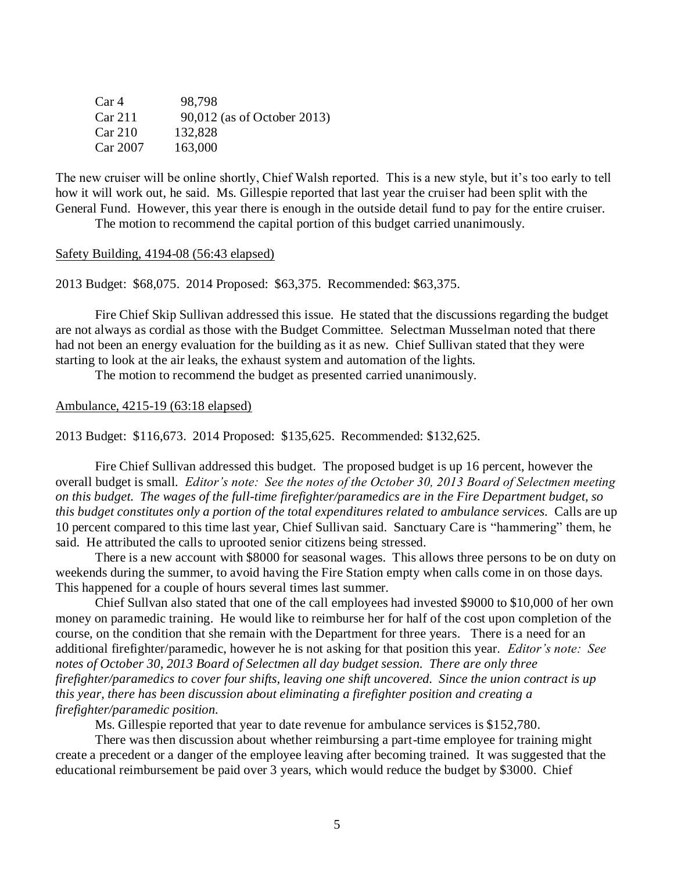| Car <sub>4</sub>   | 98,798                      |
|--------------------|-----------------------------|
| Car 211            | 90,012 (as of October 2013) |
| Car <sub>210</sub> | 132,828                     |
| Car 2007           | 163,000                     |

The new cruiser will be online shortly, Chief Walsh reported. This is a new style, but it's too early to tell how it will work out, he said. Ms. Gillespie reported that last year the cruiser had been split with the General Fund. However, this year there is enough in the outside detail fund to pay for the entire cruiser.

The motion to recommend the capital portion of this budget carried unanimously.

# Safety Building, 4194-08 (56:43 elapsed)

2013 Budget: \$68,075. 2014 Proposed: \$63,375. Recommended: \$63,375.

Fire Chief Skip Sullivan addressed this issue. He stated that the discussions regarding the budget are not always as cordial as those with the Budget Committee. Selectman Musselman noted that there had not been an energy evaluation for the building as it as new. Chief Sullivan stated that they were starting to look at the air leaks, the exhaust system and automation of the lights.

The motion to recommend the budget as presented carried unanimously.

#### <span id="page-4-0"></span>Ambulance, 4215-19 (63:18 elapsed)

2013 Budget: \$116,673. 2014 Proposed: \$135,625. Recommended: \$132,625.

Fire Chief Sullivan addressed this budget. The proposed budget is up 16 percent, however the overall budget is small. *Editor's note: See the notes of the October 30, 2013 Board of Selectmen meeting on this budget. The wages of the full-time firefighter/paramedics are in the Fire Department budget, so this budget constitutes only a portion of the total expenditures related to ambulance services.* Calls are up 10 percent compared to this time last year, Chief Sullivan said. Sanctuary Care is "hammering" them, he said. He attributed the calls to uprooted senior citizens being stressed.

There is a new account with \$8000 for seasonal wages. This allows three persons to be on duty on weekends during the summer, to avoid having the Fire Station empty when calls come in on those days. This happened for a couple of hours several times last summer.

Chief Sullvan also stated that one of the call employees had invested \$9000 to \$10,000 of her own money on paramedic training. He would like to reimburse her for half of the cost upon completion of the course, on the condition that she remain with the Department for three years. There is a need for an additional firefighter/paramedic, however he is not asking for that position this year. *Editor's note: See notes of October 30, 2013 Board of Selectmen all day budget session. There are only three firefighter/paramedics to cover four shifts, leaving one shift uncovered. Since the union contract is up this year, there has been discussion about eliminating a firefighter position and creating a firefighter/paramedic position.*

Ms. Gillespie reported that year to date revenue for ambulance services is \$152,780.

There was then discussion about whether reimbursing a part-time employee for training might create a precedent or a danger of the employee leaving after becoming trained. It was suggested that the educational reimbursement be paid over 3 years, which would reduce the budget by \$3000. Chief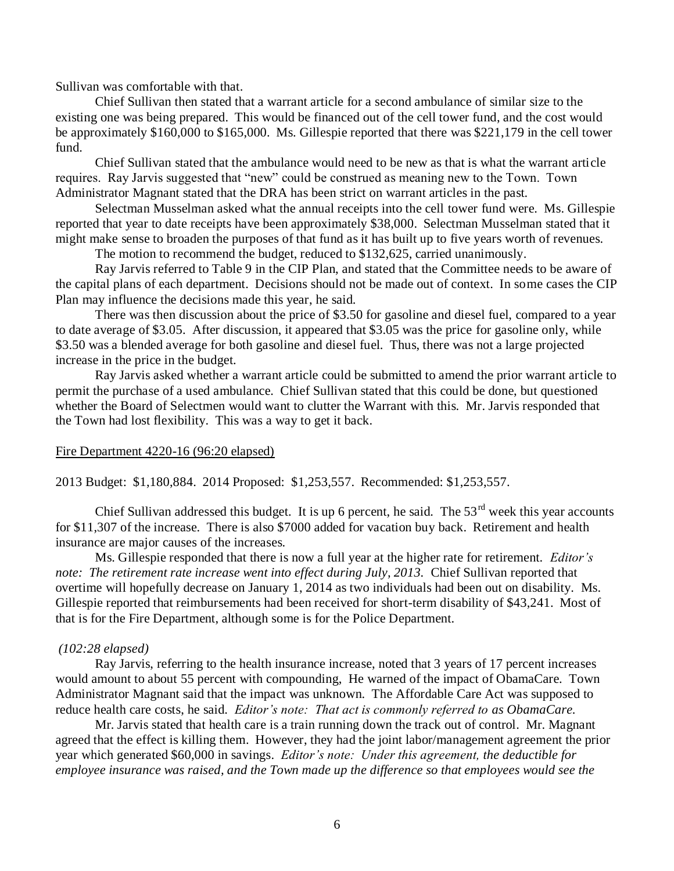Sullivan was comfortable with that.

Chief Sullivan then stated that a warrant article for a second ambulance of similar size to the existing one was being prepared. This would be financed out of the cell tower fund, and the cost would be approximately \$160,000 to \$165,000. Ms. Gillespie reported that there was \$221,179 in the cell tower fund.

Chief Sullivan stated that the ambulance would need to be new as that is what the warrant article requires. Ray Jarvis suggested that "new" could be construed as meaning new to the Town. Town Administrator Magnant stated that the DRA has been strict on warrant articles in the past.

Selectman Musselman asked what the annual receipts into the cell tower fund were. Ms. Gillespie reported that year to date receipts have been approximately \$38,000. Selectman Musselman stated that it might make sense to broaden the purposes of that fund as it has built up to five years worth of revenues.

The motion to recommend the budget, reduced to \$132,625, carried unanimously.

Ray Jarvis referred to Table 9 in the CIP Plan, and stated that the Committee needs to be aware of the capital plans of each department. Decisions should not be made out of context. In some cases the CIP Plan may influence the decisions made this year, he said.

There was then discussion about the price of \$3.50 for gasoline and diesel fuel, compared to a year to date average of \$3.05. After discussion, it appeared that \$3.05 was the price for gasoline only, while \$3.50 was a blended average for both gasoline and diesel fuel. Thus, there was not a large projected increase in the price in the budget.

Ray Jarvis asked whether a warrant article could be submitted to amend the prior warrant article to permit the purchase of a used ambulance. Chief Sullivan stated that this could be done, but questioned whether the Board of Selectmen would want to clutter the Warrant with this. Mr. Jarvis responded that the Town had lost flexibility. This was a way to get it back.

## Fire Department 4220-16 (96:20 elapsed)

2013 Budget: \$1,180,884. 2014 Proposed: \$1,253,557. Recommended: \$1,253,557.

Chief Sullivan addressed this budget. It is up 6 percent, he said. The  $53<sup>rd</sup>$  week this year accounts for \$11,307 of the increase. There is also \$7000 added for vacation buy back. Retirement and health insurance are major causes of the increases.

Ms. Gillespie responded that there is now a full year at the higher rate for retirement. *Editor's note: The retirement rate increase went into effect during July, 2013.* Chief Sullivan reported that overtime will hopefully decrease on January 1, 2014 as two individuals had been out on disability. Ms. Gillespie reported that reimbursements had been received for short-term disability of \$43,241. Most of that is for the Fire Department, although some is for the Police Department.

#### *(102:28 elapsed)*

Ray Jarvis, referring to the health insurance increase, noted that 3 years of 17 percent increases would amount to about 55 percent with compounding, He warned of the impact of ObamaCare. Town Administrator Magnant said that the impact was unknown. The Affordable Care Act was supposed to reduce health care costs, he said. *Editor's note: That act is commonly referred to as ObamaCare.* 

<span id="page-5-0"></span>Mr. Jarvis stated that health care is a train running down the track out of control. Mr. Magnant agreed that the effect is killing them. However, they had the joint labor/management agreement the prior year which generated \$60,000 in savings. *Editor's note: Under this agreement, the deductible for employee insurance was raised, and the Town made up the difference so that employees would see the*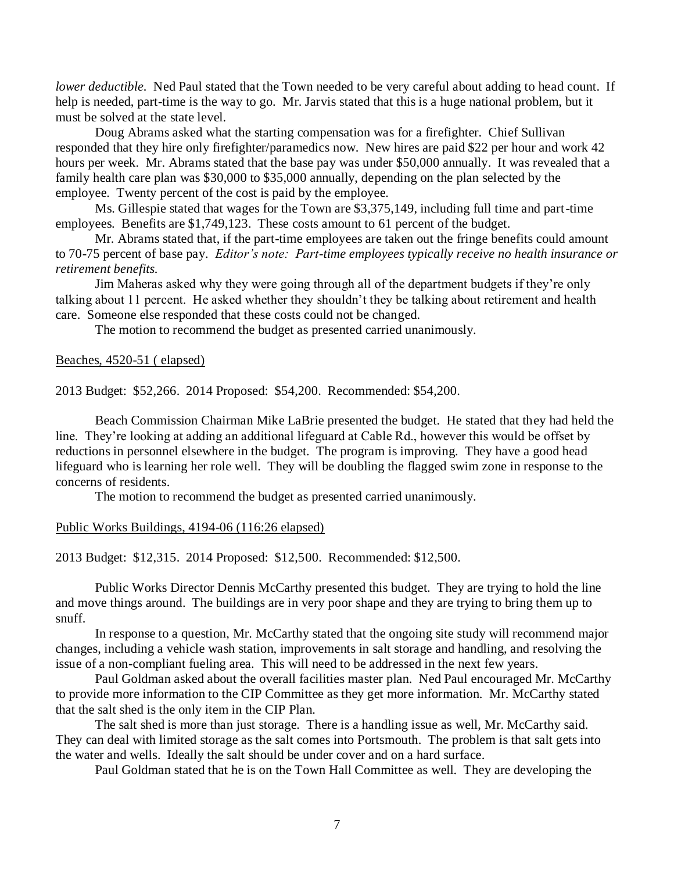*lower deductible.* Ned Paul stated that the Town needed to be very careful about adding to head count. If help is needed, part-time is the way to go. Mr. Jarvis stated that this is a huge national problem, but it must be solved at the state level.

Doug Abrams asked what the starting compensation was for a firefighter. Chief Sullivan responded that they hire only firefighter/paramedics now. New hires are paid \$22 per hour and work 42 hours per week. Mr. Abrams stated that the base pay was under \$50,000 annually. It was revealed that a family health care plan was \$30,000 to \$35,000 annually, depending on the plan selected by the employee. Twenty percent of the cost is paid by the employee.

Ms. Gillespie stated that wages for the Town are \$3,375,149, including full time and part-time employees. Benefits are \$1,749,123. These costs amount to 61 percent of the budget.

Mr. Abrams stated that, if the part-time employees are taken out the fringe benefits could amount to 70-75 percent of base pay. *Editor's note: Part-time employees typically receive no health insurance or retirement benefits.*

Jim Maheras asked why they were going through all of the department budgets if they're only talking about 11 percent. He asked whether they shouldn't they be talking about retirement and health care. Someone else responded that these costs could not be changed.

The motion to recommend the budget as presented carried unanimously.

Beaches, 4520-51 ( elapsed)

2013 Budget: \$52,266. 2014 Proposed: \$54,200. Recommended: \$54,200.

Beach Commission Chairman Mike LaBrie presented the budget. He stated that they had held the line. They're looking at adding an additional lifeguard at Cable Rd., however this would be offset by reductions in personnel elsewhere in the budget. The program is improving. They have a good head lifeguard who is learning her role well. They will be doubling the flagged swim zone in response to the concerns of residents.

The motion to recommend the budget as presented carried unanimously.

## Public Works Buildings, 4194-06 (116:26 elapsed)

2013 Budget: \$12,315. 2014 Proposed: \$12,500. Recommended: \$12,500.

Public Works Director Dennis McCarthy presented this budget. They are trying to hold the line and move things around. The buildings are in very poor shape and they are trying to bring them up to snuff.

In response to a question, Mr. McCarthy stated that the ongoing site study will recommend major changes, including a vehicle wash station, improvements in salt storage and handling, and resolving the issue of a non-compliant fueling area. This will need to be addressed in the next few years.

Paul Goldman asked about the overall facilities master plan. Ned Paul encouraged Mr. McCarthy to provide more information to the CIP Committee as they get more information. Mr. McCarthy stated that the salt shed is the only item in the CIP Plan.

The salt shed is more than just storage. There is a handling issue as well, Mr. McCarthy said. They can deal with limited storage as the salt comes into Portsmouth. The problem is that salt gets into the water and wells. Ideally the salt should be under cover and on a hard surface.

Paul Goldman stated that he is on the Town Hall Committee as well. They are developing the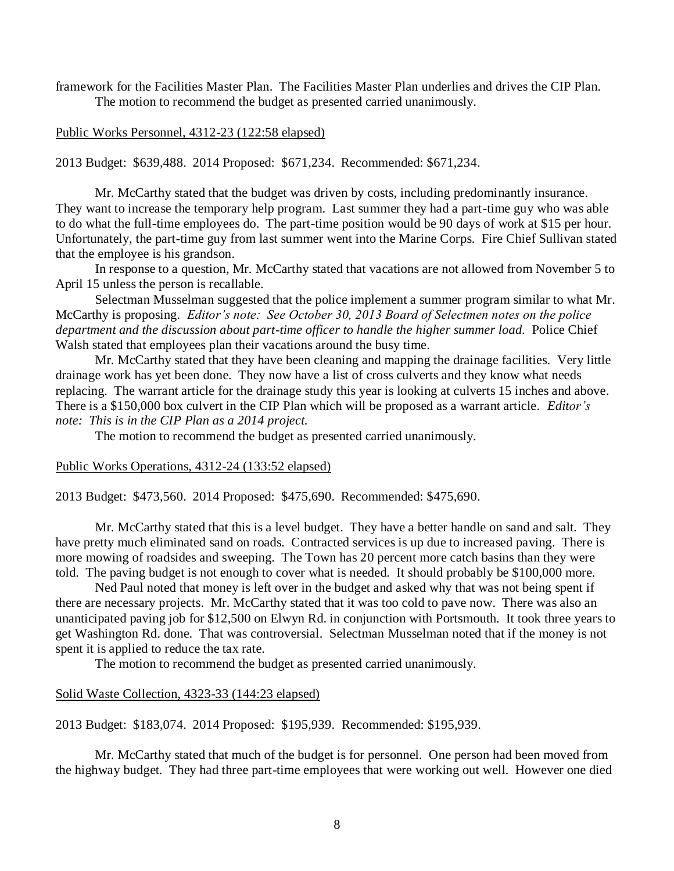framework for the Facilities Master Plan. The Facilities Master Plan underlies and drives the CIP Plan. The motion to recommend the budget as presented carried unanimously.

## Public Works Personnel, 4312-23 (122:58 elapsed)

# 2013 Budget: \$639,488. 2014 Proposed: \$671,234. Recommended: \$671,234.

Mr. McCarthy stated that the budget was driven by costs, including predominantly insurance. They want to increase the temporary help program. Last summer they had a part-time guy who was able to do what the full-time employees do. The part-time position would be 90 days of work at \$15 per hour. Unfortunately, the part-time guy from last summer went into the Marine Corps. Fire Chief Sullivan stated that the employee is his grandson.

In response to a question, Mr. McCarthy stated that vacations are not allowed from November 5 to April 15 unless the person is recallable.

Selectman Musselman suggested that the police implement a summer program similar to what Mr. McCarthy is proposing. *Editor's note: See October 30, 2013 Board of Selectmen notes on the police department and the discussion about part-time officer to handle the higher summer load.* Police Chief Walsh stated that employees plan their vacations around the busy time.

Mr. McCarthy stated that they have been cleaning and mapping the drainage facilities. Very little drainage work has yet been done. They now have a list of cross culverts and they know what needs replacing. The warrant article for the drainage study this year is looking at culverts 15 inches and above. There is a \$150,000 box culvert in the CIP Plan which will be proposed as a warrant article. *Editor's note: This is in the CIP Plan as a 2014 project.*

The motion to recommend the budget as presented carried unanimously.

# Public Works Operations, 4312-24 (133:52 elapsed)

2013 Budget: \$473,560. 2014 Proposed: \$475,690. Recommended: \$475,690.

Mr. McCarthy stated that this is a level budget. They have a better handle on sand and salt. They have pretty much eliminated sand on roads. Contracted services is up due to increased paving. There is more mowing of roadsides and sweeping. The Town has 20 percent more catch basins than they were told. The paving budget is not enough to cover what is needed. It should probably be \$100,000 more.

Ned Paul noted that money is left over in the budget and asked why that was not being spent if there are necessary projects. Mr. McCarthy stated that it was too cold to pave now. There was also an unanticipated paving job for \$12,500 on Elwyn Rd. in conjunction with Portsmouth. It took three years to get Washington Rd. done. That was controversial. Selectman Musselman noted that if the money is not spent it is applied to reduce the tax rate.

The motion to recommend the budget as presented carried unanimously.

## Solid Waste Collection, 4323-33 (144:23 elapsed)

2013 Budget: \$183,074. 2014 Proposed: \$195,939. Recommended: \$195,939.

Mr. McCarthy stated that much of the budget is for personnel. One person had been moved from the highway budget. They had three part-time employees that were working out well. However one died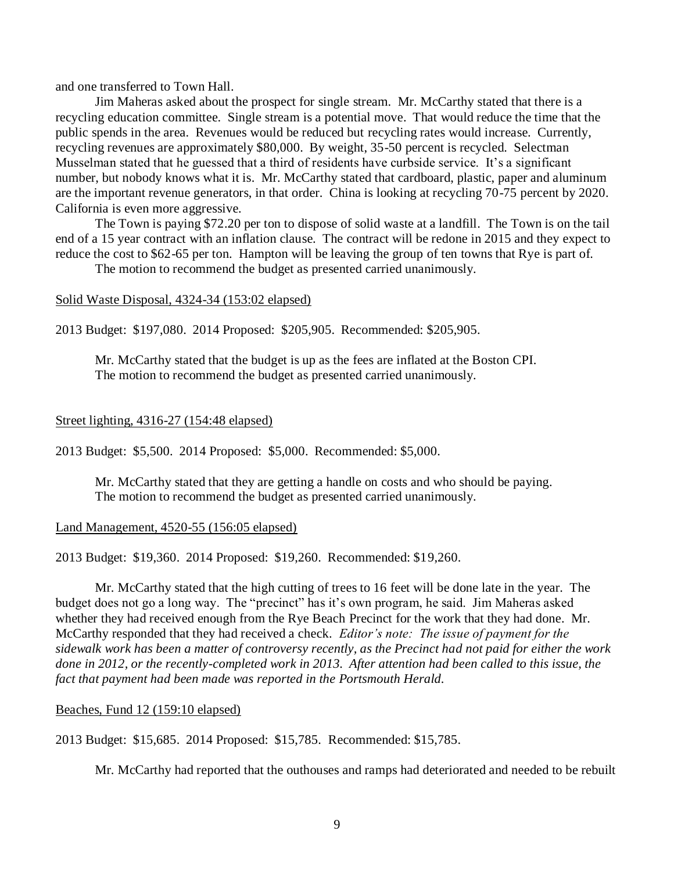and one transferred to Town Hall.

Jim Maheras asked about the prospect for single stream. Mr. McCarthy stated that there is a recycling education committee. Single stream is a potential move. That would reduce the time that the public spends in the area. Revenues would be reduced but recycling rates would increase. Currently, recycling revenues are approximately \$80,000. By weight, 35-50 percent is recycled. Selectman Musselman stated that he guessed that a third of residents have curbside service. It's a significant number, but nobody knows what it is. Mr. McCarthy stated that cardboard, plastic, paper and aluminum are the important revenue generators, in that order. China is looking at recycling 70-75 percent by 2020. California is even more aggressive.

The Town is paying \$72.20 per ton to dispose of solid waste at a landfill. The Town is on the tail end of a 15 year contract with an inflation clause. The contract will be redone in 2015 and they expect to reduce the cost to \$62-65 per ton. Hampton will be leaving the group of ten towns that Rye is part of.

The motion to recommend the budget as presented carried unanimously.

## Solid Waste Disposal, 4324-34 (153:02 elapsed)

2013 Budget: \$197,080. 2014 Proposed: \$205,905. Recommended: \$205,905.

Mr. McCarthy stated that the budget is up as the fees are inflated at the Boston CPI. The motion to recommend the budget as presented carried unanimously.

## Street lighting, 4316-27 (154:48 elapsed)

2013 Budget: \$5,500. 2014 Proposed: \$5,000. Recommended: \$5,000.

Mr. McCarthy stated that they are getting a handle on costs and who should be paying. The motion to recommend the budget as presented carried unanimously.

# Land Management, 4520-55 (156:05 elapsed)

2013 Budget: \$19,360. 2014 Proposed: \$19,260. Recommended: \$19,260.

Mr. McCarthy stated that the high cutting of trees to 16 feet will be done late in the year. The budget does not go a long way. The "precinct" has it's own program, he said. Jim Maheras asked whether they had received enough from the Rye Beach Precinct for the work that they had done. Mr. McCarthy responded that they had received a check. *Editor's note: The issue of payment for the sidewalk work has been a matter of controversy recently, as the Precinct had not paid for either the work done in 2012, or the recently-completed work in 2013. After attention had been called to this issue, the fact that payment had been made was reported in the Portsmouth Herald.*

# Beaches, Fund 12 (159:10 elapsed)

2013 Budget: \$15,685. 2014 Proposed: \$15,785. Recommended: \$15,785.

Mr. McCarthy had reported that the outhouses and ramps had deteriorated and needed to be rebuilt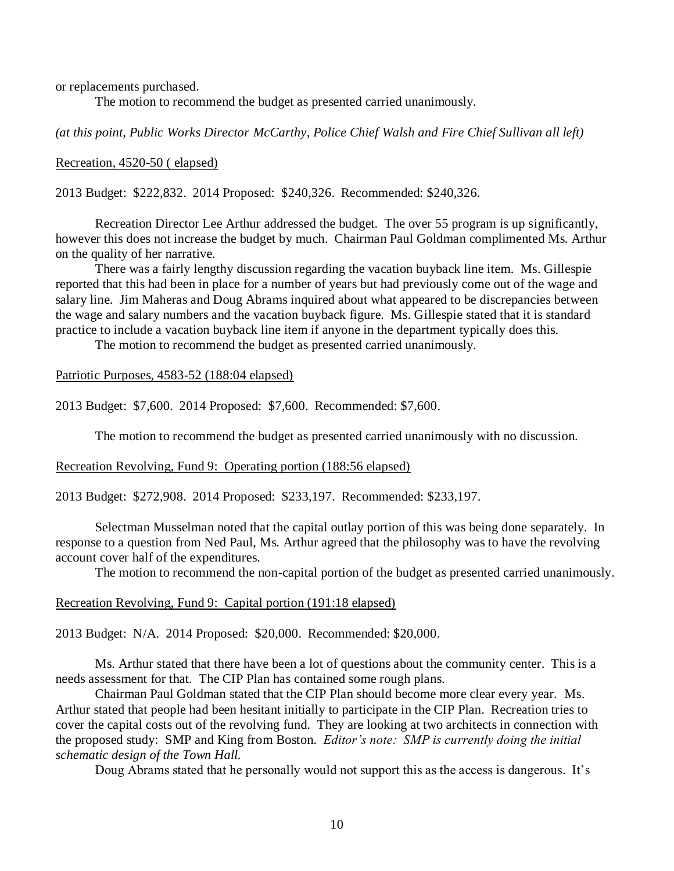or replacements purchased.

The motion to recommend the budget as presented carried unanimously.

*(at this point, Public Works Director McCarthy, Police Chief Walsh and Fire Chief Sullivan all left)*

#### Recreation, 4520-50 ( elapsed)

2013 Budget: \$222,832. 2014 Proposed: \$240,326. Recommended: \$240,326.

Recreation Director Lee Arthur addressed the budget. The over 55 program is up significantly, however this does not increase the budget by much. Chairman Paul Goldman complimented Ms. Arthur on the quality of her narrative.

There was a fairly lengthy discussion regarding the vacation buyback line item. Ms. Gillespie reported that this had been in place for a number of years but had previously come out of the wage and salary line. Jim Maheras and Doug Abrams inquired about what appeared to be discrepancies between the wage and salary numbers and the vacation buyback figure. Ms. Gillespie stated that it is standard practice to include a vacation buyback line item if anyone in the department typically does this.

The motion to recommend the budget as presented carried unanimously.

#### Patriotic Purposes, 4583-52 (188:04 elapsed)

2013 Budget: \$7,600. 2014 Proposed: \$7,600. Recommended: \$7,600.

The motion to recommend the budget as presented carried unanimously with no discussion.

## <span id="page-9-0"></span>Recreation Revolving, Fund 9: Operating portion (188:56 elapsed)

2013 Budget: \$272,908. 2014 Proposed: \$233,197. Recommended: \$233,197.

Selectman Musselman noted that the capital outlay portion of this was being done separately. In response to a question from Ned Paul, Ms. Arthur agreed that the philosophy was to have the revolving account cover half of the expenditures.

The motion to recommend the non-capital portion of the budget as presented carried unanimously.

#### Recreation Revolving, Fund 9: Capital portion (191:18 elapsed)

2013 Budget: N/A. 2014 Proposed: \$20,000. Recommended: \$20,000.

Ms. Arthur stated that there have been a lot of questions about the community center. This is a needs assessment for that. The CIP Plan has contained some rough plans.

Chairman Paul Goldman stated that the CIP Plan should become more clear every year. Ms. Arthur stated that people had been hesitant initially to participate in the CIP Plan. Recreation tries to cover the capital costs out of the revolving fund. They are looking at two architects in connection with the proposed study: SMP and King from Boston. *Editor's note: SMP is currently doing the initial schematic design of the Town Hall.*

Doug Abrams stated that he personally would not support this as the access is dangerous. It's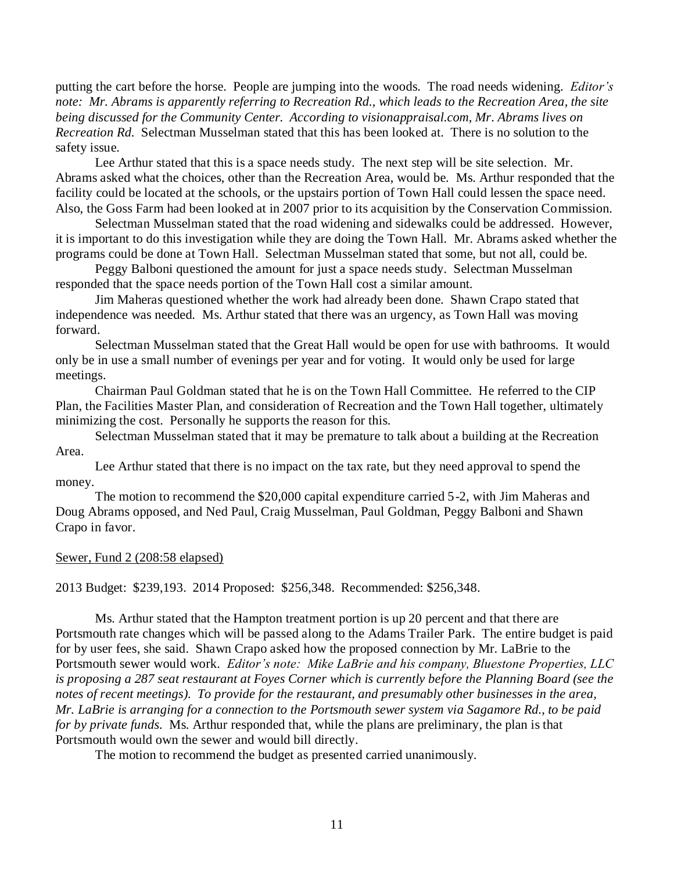putting the cart before the horse. People are jumping into the woods. The road needs widening. *Editor's note: Mr. Abrams is apparently referring to Recreation Rd., which leads to the Recreation Area, the site being discussed for the Community Center. According to visionappraisal.com, Mr. Abrams lives on Recreation Rd.* Selectman Musselman stated that this has been looked at. There is no solution to the safety issue.

Lee Arthur stated that this is a space needs study. The next step will be site selection. Mr. Abrams asked what the choices, other than the Recreation Area, would be. Ms. Arthur responded that the facility could be located at the schools, or the upstairs portion of Town Hall could lessen the space need. Also, the Goss Farm had been looked at in 2007 prior to its acquisition by the Conservation Commission.

Selectman Musselman stated that the road widening and sidewalks could be addressed. However, it is important to do this investigation while they are doing the Town Hall. Mr. Abrams asked whether the programs could be done at Town Hall. Selectman Musselman stated that some, but not all, could be.

Peggy Balboni questioned the amount for just a space needs study. Selectman Musselman responded that the space needs portion of the Town Hall cost a similar amount.

Jim Maheras questioned whether the work had already been done. Shawn Crapo stated that independence was needed. Ms. Arthur stated that there was an urgency, as Town Hall was moving forward.

Selectman Musselman stated that the Great Hall would be open for use with bathrooms. It would only be in use a small number of evenings per year and for voting. It would only be used for large meetings.

Chairman Paul Goldman stated that he is on the Town Hall Committee. He referred to the CIP Plan, the Facilities Master Plan, and consideration of Recreation and the Town Hall together, ultimately minimizing the cost. Personally he supports the reason for this.

Selectman Musselman stated that it may be premature to talk about a building at the Recreation Area.

Lee Arthur stated that there is no impact on the tax rate, but they need approval to spend the money.

The motion to recommend the \$20,000 capital expenditure carried 5-2, with Jim Maheras and Doug Abrams opposed, and Ned Paul, Craig Musselman, Paul Goldman, Peggy Balboni and Shawn Crapo in favor.

## Sewer, Fund 2 (208:58 elapsed)

2013 Budget: \$239,193. 2014 Proposed: \$256,348. Recommended: \$256,348.

Ms. Arthur stated that the Hampton treatment portion is up 20 percent and that there are Portsmouth rate changes which will be passed along to the Adams Trailer Park. The entire budget is paid for by user fees, she said. Shawn Crapo asked how the proposed connection by Mr. LaBrie to the Portsmouth sewer would work. *Editor's note: Mike LaBrie and his company, Bluestone Properties, LLC is proposing a 287 seat restaurant at Foyes Corner which is currently before the Planning Board (see the notes of recent meetings). To provide for the restaurant, and presumably other businesses in the area, Mr. LaBrie is arranging for a connection to the Portsmouth sewer system via Sagamore Rd., to be paid for by private funds.* Ms. Arthur responded that, while the plans are preliminary, the plan is that Portsmouth would own the sewer and would bill directly.

The motion to recommend the budget as presented carried unanimously.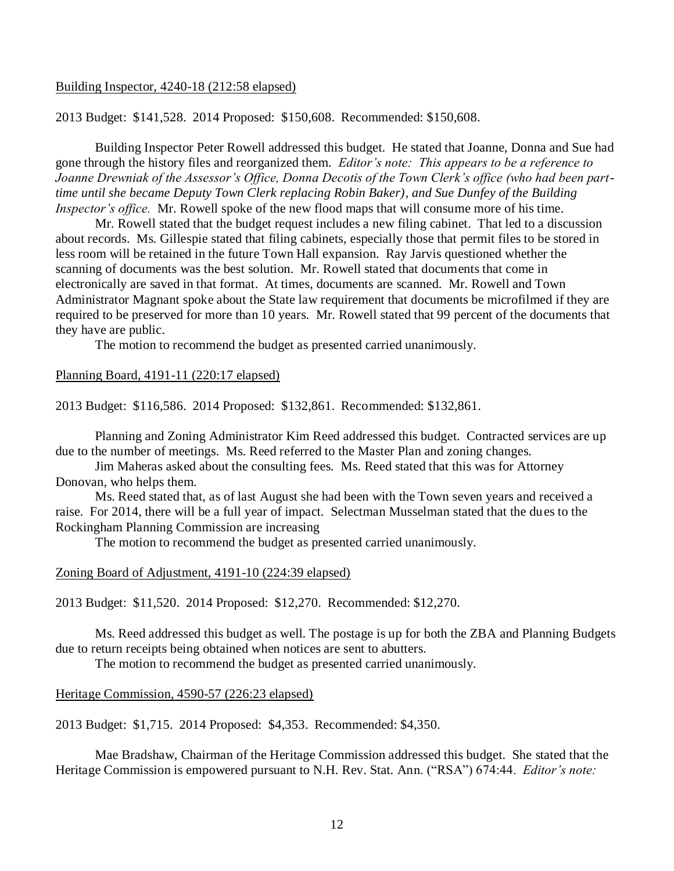### Building Inspector, 4240-18 (212:58 elapsed)

2013 Budget: \$141,528. 2014 Proposed: \$150,608. Recommended: \$150,608.

Building Inspector Peter Rowell addressed this budget. He stated that Joanne, Donna and Sue had gone through the history files and reorganized them. *Editor's note: This appears to be a reference to Joanne Drewniak of the Assessor's Office, Donna Decotis of the Town Clerk's office (who had been parttime until she became Deputy Town Clerk replacing Robin Baker), and Sue Dunfey of the Building Inspector's office.* Mr. Rowell spoke of the new flood maps that will consume more of his time.

Mr. Rowell stated that the budget request includes a new filing cabinet. That led to a discussion about records. Ms. Gillespie stated that filing cabinets, especially those that permit files to be stored in less room will be retained in the future Town Hall expansion. Ray Jarvis questioned whether the scanning of documents was the best solution. Mr. Rowell stated that documents that come in electronically are saved in that format. At times, documents are scanned. Mr. Rowell and Town Administrator Magnant spoke about the State law requirement that documents be microfilmed if they are required to be preserved for more than 10 years. Mr. Rowell stated that 99 percent of the documents that they have are public.

The motion to recommend the budget as presented carried unanimously.

### Planning Board, 4191-11 (220:17 elapsed)

2013 Budget: \$116,586. 2014 Proposed: \$132,861. Recommended: \$132,861.

Planning and Zoning Administrator Kim Reed addressed this budget. Contracted services are up due to the number of meetings. Ms. Reed referred to the Master Plan and zoning changes.

Jim Maheras asked about the consulting fees. Ms. Reed stated that this was for Attorney Donovan, who helps them.

Ms. Reed stated that, as of last August she had been with the Town seven years and received a raise. For 2014, there will be a full year of impact. Selectman Musselman stated that the dues to the Rockingham Planning Commission are increasing

The motion to recommend the budget as presented carried unanimously.

### Zoning Board of Adjustment, 4191-10 (224:39 elapsed)

2013 Budget: \$11,520. 2014 Proposed: \$12,270. Recommended: \$12,270.

Ms. Reed addressed this budget as well. The postage is up for both the ZBA and Planning Budgets due to return receipts being obtained when notices are sent to abutters.

The motion to recommend the budget as presented carried unanimously.

#### Heritage Commission, 4590-57 (226:23 elapsed)

2013 Budget: \$1,715. 2014 Proposed: \$4,353. Recommended: \$4,350.

Mae Bradshaw, Chairman of the Heritage Commission addressed this budget. She stated that the Heritage Commission is empowered pursuant to N.H. Rev. Stat. Ann. ("RSA") 674:44. *Editor's note:*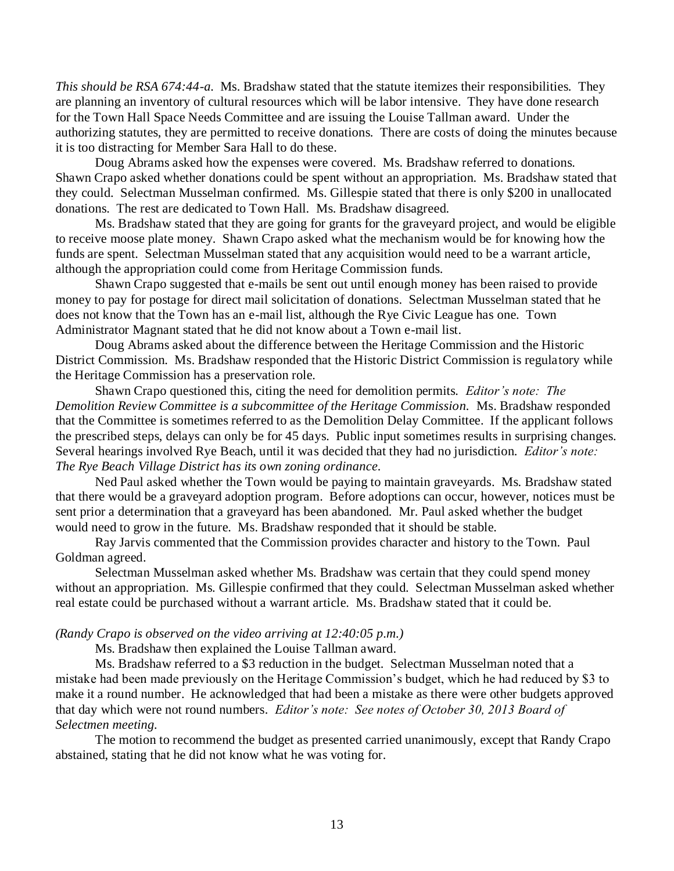*This should be RSA 674:44-a.* Ms. Bradshaw stated that the statute itemizes their responsibilities. They are planning an inventory of cultural resources which will be labor intensive. They have done research for the Town Hall Space Needs Committee and are issuing the Louise Tallman award. Under the authorizing statutes, they are permitted to receive donations. There are costs of doing the minutes because it is too distracting for Member Sara Hall to do these.

Doug Abrams asked how the expenses were covered. Ms. Bradshaw referred to donations. Shawn Crapo asked whether donations could be spent without an appropriation. Ms. Bradshaw stated that they could. Selectman Musselman confirmed. Ms. Gillespie stated that there is only \$200 in unallocated donations. The rest are dedicated to Town Hall. Ms. Bradshaw disagreed.

Ms. Bradshaw stated that they are going for grants for the graveyard project, and would be eligible to receive moose plate money. Shawn Crapo asked what the mechanism would be for knowing how the funds are spent. Selectman Musselman stated that any acquisition would need to be a warrant article, although the appropriation could come from Heritage Commission funds.

Shawn Crapo suggested that e-mails be sent out until enough money has been raised to provide money to pay for postage for direct mail solicitation of donations. Selectman Musselman stated that he does not know that the Town has an e-mail list, although the Rye Civic League has one. Town Administrator Magnant stated that he did not know about a Town e-mail list.

Doug Abrams asked about the difference between the Heritage Commission and the Historic District Commission. Ms. Bradshaw responded that the Historic District Commission is regulatory while the Heritage Commission has a preservation role.

Shawn Crapo questioned this, citing the need for demolition permits. *Editor's note: The Demolition Review Committee is a subcommittee of the Heritage Commission.* Ms. Bradshaw responded that the Committee is sometimes referred to as the Demolition Delay Committee. If the applicant follows the prescribed steps, delays can only be for 45 days. Public input sometimes results in surprising changes. Several hearings involved Rye Beach, until it was decided that they had no jurisdiction. *Editor's note: The Rye Beach Village District has its own zoning ordinance.* 

Ned Paul asked whether the Town would be paying to maintain graveyards. Ms. Bradshaw stated that there would be a graveyard adoption program. Before adoptions can occur, however, notices must be sent prior a determination that a graveyard has been abandoned. Mr. Paul asked whether the budget would need to grow in the future. Ms. Bradshaw responded that it should be stable.

Ray Jarvis commented that the Commission provides character and history to the Town. Paul Goldman agreed.

Selectman Musselman asked whether Ms. Bradshaw was certain that they could spend money without an appropriation. Ms. Gillespie confirmed that they could. Selectman Musselman asked whether real estate could be purchased without a warrant article. Ms. Bradshaw stated that it could be.

#### *(Randy Crapo is observed on the video arriving at 12:40:05 p.m.)*

Ms. Bradshaw then explained the Louise Tallman award.

Ms. Bradshaw referred to a \$3 reduction in the budget. Selectman Musselman noted that a mistake had been made previously on the Heritage Commission's budget, which he had reduced by \$3 to make it a round number. He acknowledged that had been a mistake as there were other budgets approved that day which were not round numbers. *Editor's note: See notes of October 30, 2013 Board of Selectmen meeting.*

The motion to recommend the budget as presented carried unanimously, except that Randy Crapo abstained, stating that he did not know what he was voting for.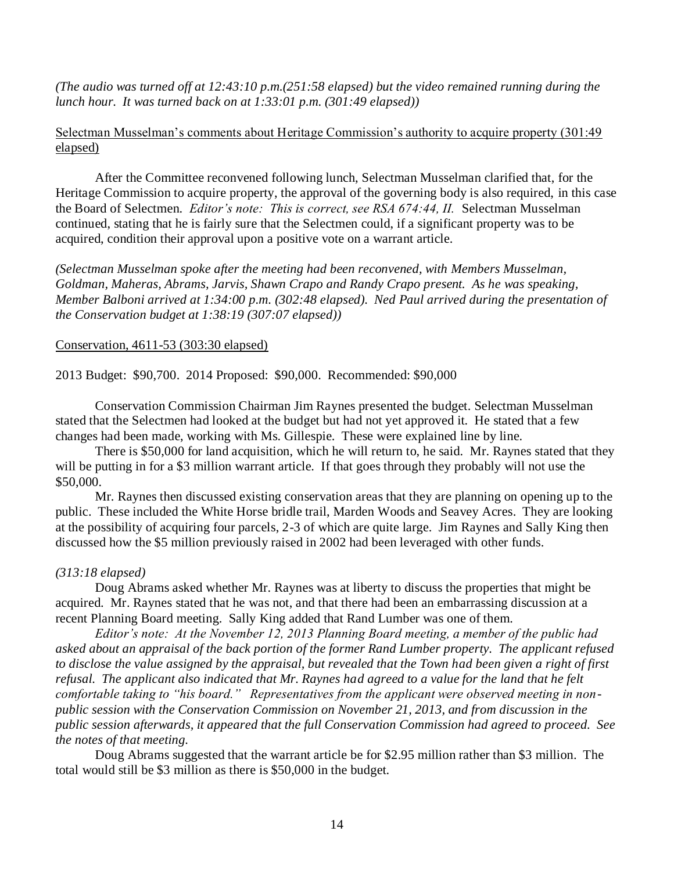*(The audio was turned off at 12:43:10 p.m.(251:58 elapsed) but the video remained running during the lunch hour. It was turned back on at 1:33:01 p.m. (301:49 elapsed))*

# Selectman Musselman's comments about Heritage Commission's authority to acquire property (301:49 elapsed)

After the Committee reconvened following lunch, Selectman Musselman clarified that, for the Heritage Commission to acquire property, the approval of the governing body is also required, in this case the Board of Selectmen. *Editor's note: This is correct, see RSA 674:44, II.* Selectman Musselman continued, stating that he is fairly sure that the Selectmen could, if a significant property was to be acquired, condition their approval upon a positive vote on a warrant article.

*(Selectman Musselman spoke after the meeting had been reconvened, with Members Musselman, Goldman, Maheras, Abrams, Jarvis, Shawn Crapo and Randy Crapo present. As he was speaking, Member Balboni arrived at 1:34:00 p.m. (302:48 elapsed). Ned Paul arrived during the presentation of the Conservation budget at 1:38:19 (307:07 elapsed))*

## <span id="page-13-0"></span>Conservation, 4611-53 (303:30 elapsed)

2013 Budget: \$90,700. 2014 Proposed: \$90,000. Recommended: \$90,000

Conservation Commission Chairman Jim Raynes presented the budget. Selectman Musselman stated that the Selectmen had looked at the budget but had not yet approved it. He stated that a few changes had been made, working with Ms. Gillespie. These were explained line by line.

There is \$50,000 for land acquisition, which he will return to, he said. Mr. Raynes stated that they will be putting in for a \$3 million warrant article. If that goes through they probably will not use the \$50,000.

Mr. Raynes then discussed existing conservation areas that they are planning on opening up to the public. These included the White Horse bridle trail, Marden Woods and Seavey Acres. They are looking at the possibility of acquiring four parcels, 2-3 of which are quite large. Jim Raynes and Sally King then discussed how the \$5 million previously raised in 2002 had been leveraged with other funds.

# *(313:18 elapsed)*

Doug Abrams asked whether Mr. Raynes was at liberty to discuss the properties that might be acquired. Mr. Raynes stated that he was not, and that there had been an embarrassing discussion at a recent Planning Board meeting. Sally King added that Rand Lumber was one of them.

*Editor's note: At the November 12, 2013 Planning Board meeting, a member of the public had asked about an appraisal of the back portion of the former Rand Lumber property. The applicant refused to disclose the value assigned by the appraisal, but revealed that the Town had been given a right of first refusal. The applicant also indicated that Mr. Raynes had agreed to a value for the land that he felt comfortable taking to "his board." Representatives from the applicant were observed meeting in nonpublic session with the Conservation Commission on November 21, 2013, and from discussion in the public session afterwards, it appeared that the full Conservation Commission had agreed to proceed. See the notes of that meeting.*

Doug Abrams suggested that the warrant article be for \$2.95 million rather than \$3 million. The total would still be \$3 million as there is \$50,000 in the budget.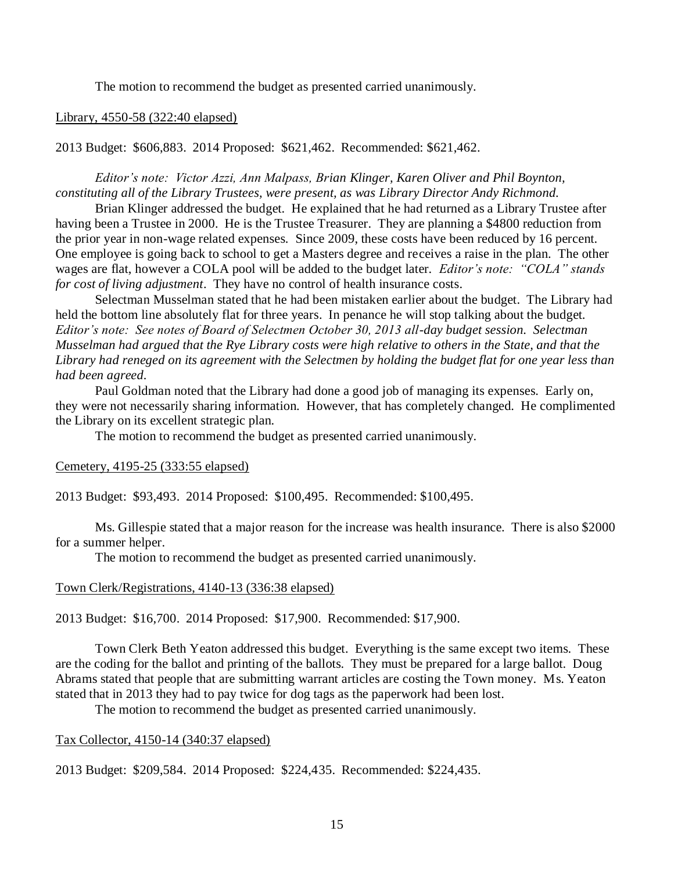The motion to recommend the budget as presented carried unanimously.

## Library, 4550-58 (322:40 elapsed)

2013 Budget: \$606,883. 2014 Proposed: \$621,462. Recommended: \$621,462.

*Editor's note: Victor Azzi, Ann Malpass, Brian Klinger, Karen Oliver and Phil Boynton, constituting all of the Library Trustees, were present, as was Library Director Andy Richmond.*

Brian Klinger addressed the budget. He explained that he had returned as a Library Trustee after having been a Trustee in 2000. He is the Trustee Treasurer. They are planning a \$4800 reduction from the prior year in non-wage related expenses. Since 2009, these costs have been reduced by 16 percent. One employee is going back to school to get a Masters degree and receives a raise in the plan. The other wages are flat, however a COLA pool will be added to the budget later. *Editor's note: "COLA" stands for cost of living adjustment*. They have no control of health insurance costs.

Selectman Musselman stated that he had been mistaken earlier about the budget. The Library had held the bottom line absolutely flat for three years. In penance he will stop talking about the budget. *Editor's note: See notes of Board of Selectmen October 30, 2013 all-day budget session. Selectman Musselman had argued that the Rye Library costs were high relative to others in the State, and that the Library had reneged on its agreement with the Selectmen by holding the budget flat for one year less than had been agreed.*

Paul Goldman noted that the Library had done a good job of managing its expenses. Early on, they were not necessarily sharing information. However, that has completely changed. He complimented the Library on its excellent strategic plan.

The motion to recommend the budget as presented carried unanimously.

#### Cemetery, 4195-25 (333:55 elapsed)

2013 Budget: \$93,493. 2014 Proposed: \$100,495. Recommended: \$100,495.

Ms. Gillespie stated that a major reason for the increase was health insurance. There is also \$2000 for a summer helper.

The motion to recommend the budget as presented carried unanimously.

### Town Clerk/Registrations, 4140-13 (336:38 elapsed)

2013 Budget: \$16,700. 2014 Proposed: \$17,900. Recommended: \$17,900.

Town Clerk Beth Yeaton addressed this budget. Everything is the same except two items. These are the coding for the ballot and printing of the ballots. They must be prepared for a large ballot. Doug Abrams stated that people that are submitting warrant articles are costing the Town money. Ms. Yeaton stated that in 2013 they had to pay twice for dog tags as the paperwork had been lost.

The motion to recommend the budget as presented carried unanimously.

### Tax Collector, 4150-14 (340:37 elapsed)

2013 Budget: \$209,584. 2014 Proposed: \$224,435. Recommended: \$224,435.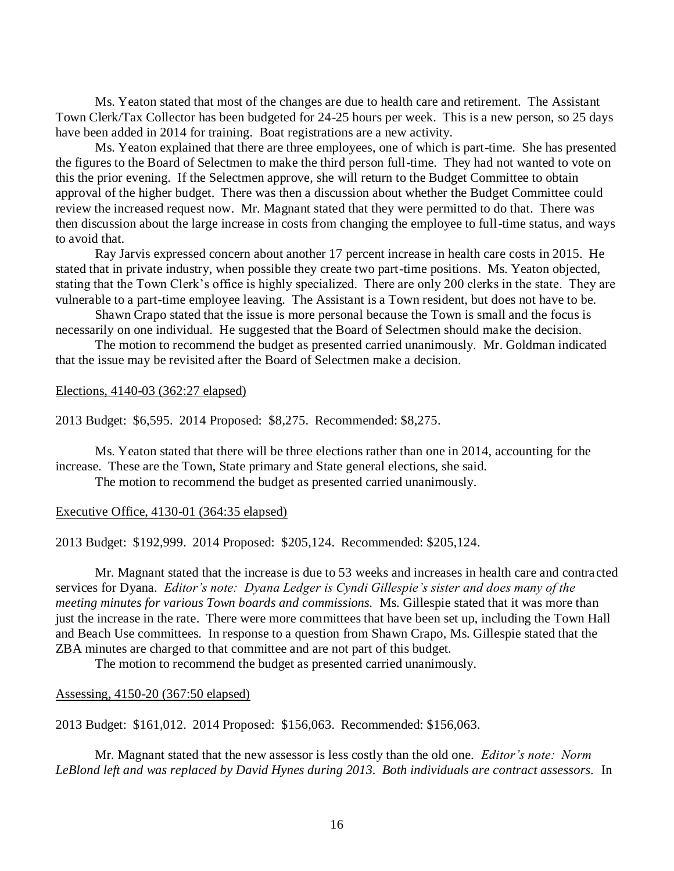Ms. Yeaton stated that most of the changes are due to health care and retirement. The Assistant Town Clerk/Tax Collector has been budgeted for 24-25 hours per week. This is a new person, so 25 days have been added in 2014 for training. Boat registrations are a new activity.

Ms. Yeaton explained that there are three employees, one of which is part-time. She has presented the figures to the Board of Selectmen to make the third person full-time. They had not wanted to vote on this the prior evening. If the Selectmen approve, she will return to the Budget Committee to obtain approval of the higher budget. There was then a discussion about whether the Budget Committee could review the increased request now. Mr. Magnant stated that they were permitted to do that. There was then discussion about the large increase in costs from changing the employee to full-time status, and ways to avoid that.

Ray Jarvis expressed concern about another 17 percent increase in health care costs in 2015. He stated that in private industry, when possible they create two part-time positions. Ms. Yeaton objected, stating that the Town Clerk's office is highly specialized. There are only 200 clerks in the state. They are vulnerable to a part-time employee leaving. The Assistant is a Town resident, but does not have to be.

Shawn Crapo stated that the issue is more personal because the Town is small and the focus is necessarily on one individual. He suggested that the Board of Selectmen should make the decision.

The motion to recommend the budget as presented carried unanimously. Mr. Goldman indicated that the issue may be revisited after the Board of Selectmen make a decision.

#### Elections, 4140-03 (362:27 elapsed)

2013 Budget: \$6,595. 2014 Proposed: \$8,275. Recommended: \$8,275.

Ms. Yeaton stated that there will be three elections rather than one in 2014, accounting for the increase. These are the Town, State primary and State general elections, she said.

The motion to recommend the budget as presented carried unanimously.

## Executive Office, 4130-01 (364:35 elapsed)

2013 Budget: \$192,999. 2014 Proposed: \$205,124. Recommended: \$205,124.

Mr. Magnant stated that the increase is due to 53 weeks and increases in health care and contracted services for Dyana. *Editor's note: Dyana Ledger is Cyndi Gillespie's sister and does many of the meeting minutes for various Town boards and commissions.* Ms. Gillespie stated that it was more than just the increase in the rate. There were more committees that have been set up, including the Town Hall and Beach Use committees. In response to a question from Shawn Crapo, Ms. Gillespie stated that the ZBA minutes are charged to that committee and are not part of this budget.

The motion to recommend the budget as presented carried unanimously.

Assessing, 4150-20 (367:50 elapsed)

2013 Budget: \$161,012. 2014 Proposed: \$156,063. Recommended: \$156,063.

Mr. Magnant stated that the new assessor is less costly than the old one. *Editor's note: Norm LeBlond left and was replaced by David Hynes during 2013. Both individuals are contract assessors.* In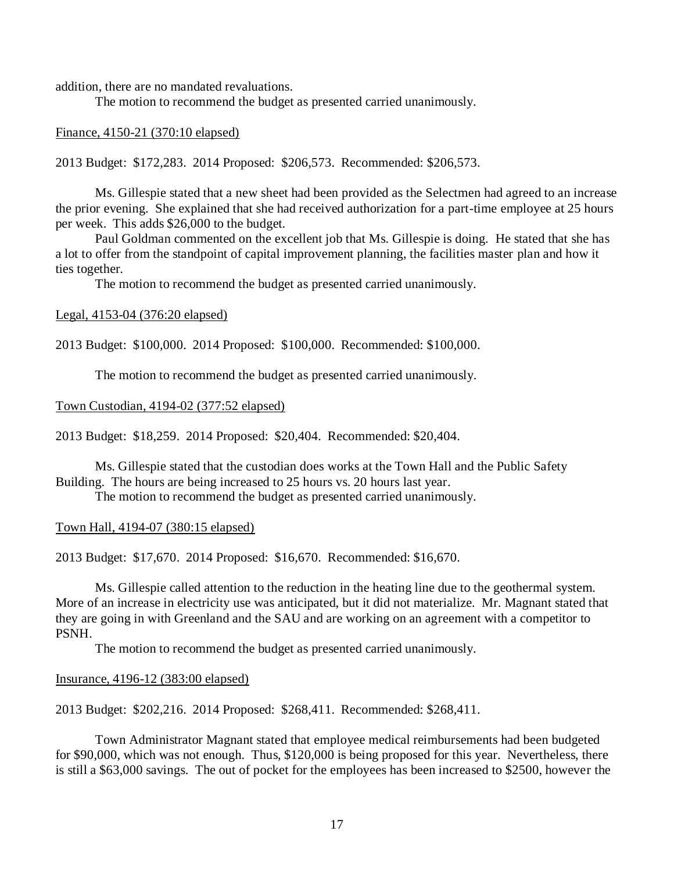addition, there are no mandated revaluations.

The motion to recommend the budget as presented carried unanimously.

Finance, 4150-21 (370:10 elapsed)

2013 Budget: \$172,283. 2014 Proposed: \$206,573. Recommended: \$206,573.

Ms. Gillespie stated that a new sheet had been provided as the Selectmen had agreed to an increase the prior evening. She explained that she had received authorization for a part-time employee at 25 hours per week. This adds \$26,000 to the budget.

Paul Goldman commented on the excellent job that Ms. Gillespie is doing. He stated that she has a lot to offer from the standpoint of capital improvement planning, the facilities master plan and how it ties together.

The motion to recommend the budget as presented carried unanimously.

### Legal, 4153-04 (376:20 elapsed)

2013 Budget: \$100,000. 2014 Proposed: \$100,000. Recommended: \$100,000.

The motion to recommend the budget as presented carried unanimously.

#### Town Custodian, 4194-02 (377:52 elapsed)

2013 Budget: \$18,259. 2014 Proposed: \$20,404. Recommended: \$20,404.

Ms. Gillespie stated that the custodian does works at the Town Hall and the Public Safety Building. The hours are being increased to 25 hours vs. 20 hours last year.

The motion to recommend the budget as presented carried unanimously.

### Town Hall, 4194-07 (380:15 elapsed)

2013 Budget: \$17,670. 2014 Proposed: \$16,670. Recommended: \$16,670.

Ms. Gillespie called attention to the reduction in the heating line due to the geothermal system. More of an increase in electricity use was anticipated, but it did not materialize. Mr. Magnant stated that they are going in with Greenland and the SAU and are working on an agreement with a competitor to PSNH.

The motion to recommend the budget as presented carried unanimously.

#### Insurance, 4196-12 (383:00 elapsed)

2013 Budget: \$202,216. 2014 Proposed: \$268,411. Recommended: \$268,411.

Town Administrator Magnant stated that employee medical reimbursements had been budgeted for \$90,000, which was not enough. Thus, \$120,000 is being proposed for this year. Nevertheless, there is still a \$63,000 savings. The out of pocket for the employees has been increased to \$2500, however the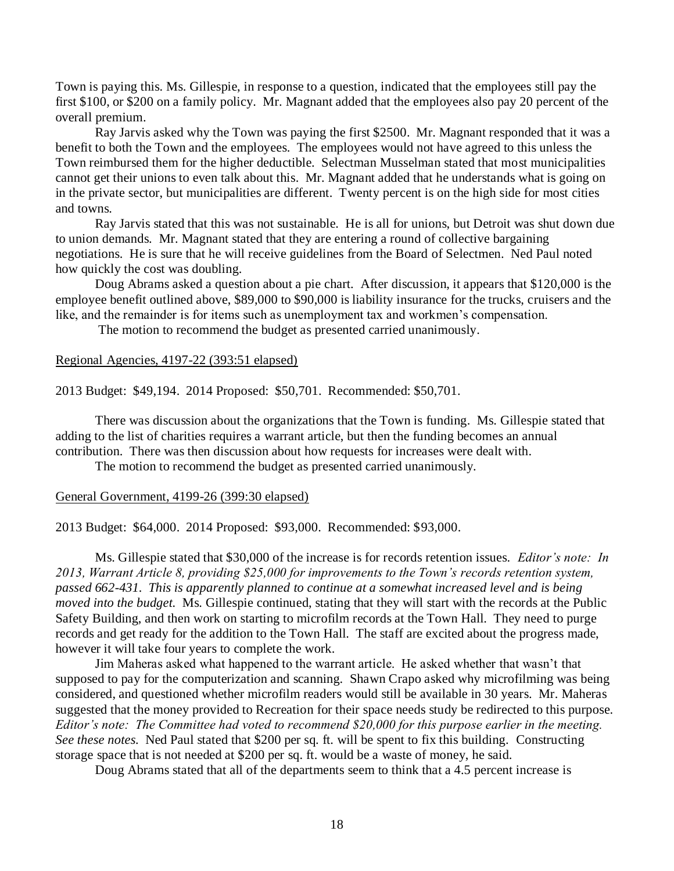Town is paying this. Ms. Gillespie, in response to a question, indicated that the employees still pay the first \$100, or \$200 on a family policy. Mr. Magnant added that the employees also pay 20 percent of the overall premium.

Ray Jarvis asked why the Town was paying the first \$2500. Mr. Magnant responded that it was a benefit to both the Town and the employees. The employees would not have agreed to this unless the Town reimbursed them for the higher deductible. Selectman Musselman stated that most municipalities cannot get their unions to even talk about this. Mr. Magnant added that he understands what is going on in the private sector, but municipalities are different. Twenty percent is on the high side for most cities and towns.

Ray Jarvis stated that this was not sustainable. He is all for unions, but Detroit was shut down due to union demands. Mr. Magnant stated that they are entering a round of collective bargaining negotiations. He is sure that he will receive guidelines from the Board of Selectmen. Ned Paul noted how quickly the cost was doubling.

Doug Abrams asked a question about a pie chart. After discussion, it appears that \$120,000 is the employee benefit outlined above, \$89,000 to \$90,000 is liability insurance for the trucks, cruisers and the like, and the remainder is for items such as unemployment tax and workmen's compensation.

The motion to recommend the budget as presented carried unanimously.

#### Regional Agencies, 4197-22 (393:51 elapsed)

2013 Budget: \$49,194. 2014 Proposed: \$50,701. Recommended: \$50,701.

There was discussion about the organizations that the Town is funding. Ms. Gillespie stated that adding to the list of charities requires a warrant article, but then the funding becomes an annual contribution. There was then discussion about how requests for increases were dealt with.

The motion to recommend the budget as presented carried unanimously.

## General Government, 4199-26 (399:30 elapsed)

2013 Budget: \$64,000. 2014 Proposed: \$93,000. Recommended: \$93,000.

Ms. Gillespie stated that \$30,000 of the increase is for records retention issues. *Editor's note: In 2013, Warrant Article 8, providing \$25,000 for improvements to the Town's records retention system, passed 662-431. This is apparently planned to continue at a somewhat increased level and is being moved into the budget.* Ms. Gillespie continued, stating that they will start with the records at the Public Safety Building, and then work on starting to microfilm records at the Town Hall. They need to purge records and get ready for the addition to the Town Hall. The staff are excited about the progress made, however it will take four years to complete the work.

Jim Maheras asked what happened to the warrant article. He asked whether that wasn't that supposed to pay for the computerization and scanning. Shawn Crapo asked why microfilming was being considered, and questioned whether microfilm readers would still be available in 30 years. Mr. Maheras suggested that the money provided to Recreation for their space needs study be redirected to this purpose. *Editor's note: The Committee had voted to recommend \$20,000 for this purpose earlier in the meeting. See these notes.* Ned Paul stated that \$200 per sq. ft. will be spent to fix this building. Constructing storage space that is not needed at \$200 per sq. ft. would be a waste of money, he said.

Doug Abrams stated that all of the departments seem to think that a 4.5 percent increase is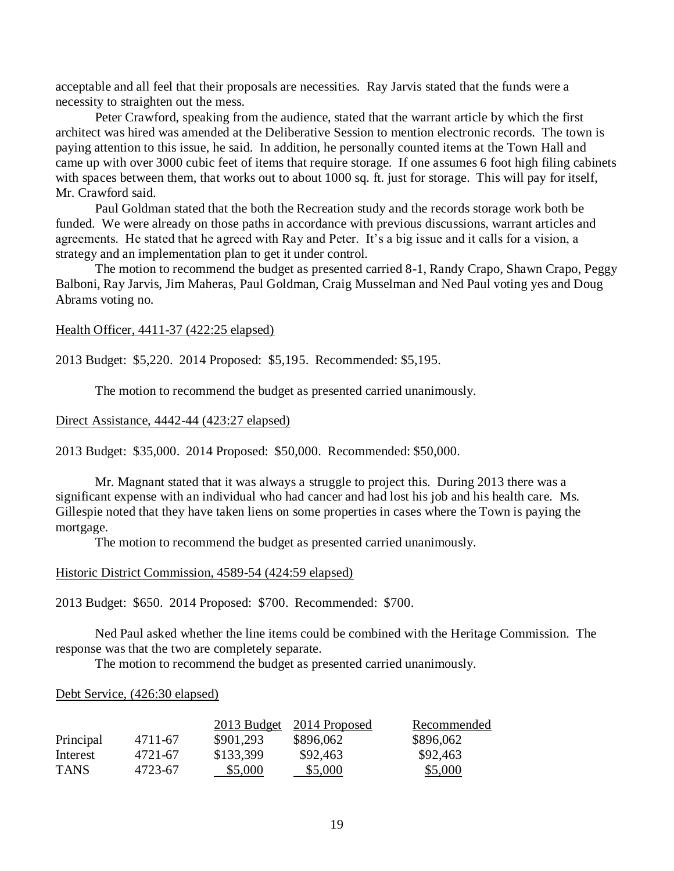acceptable and all feel that their proposals are necessities. Ray Jarvis stated that the funds were a necessity to straighten out the mess.

Peter Crawford, speaking from the audience, stated that the warrant article by which the first architect was hired was amended at the Deliberative Session to mention electronic records. The town is paying attention to this issue, he said. In addition, he personally counted items at the Town Hall and came up with over 3000 cubic feet of items that require storage. If one assumes 6 foot high filing cabinets with spaces between them, that works out to about 1000 sq. ft. just for storage. This will pay for itself, Mr. Crawford said.

Paul Goldman stated that the both the Recreation study and the records storage work both be funded. We were already on those paths in accordance with previous discussions, warrant articles and agreements. He stated that he agreed with Ray and Peter. It's a big issue and it calls for a vision, a strategy and an implementation plan to get it under control.

The motion to recommend the budget as presented carried 8-1, Randy Crapo, Shawn Crapo, Peggy Balboni, Ray Jarvis, Jim Maheras, Paul Goldman, Craig Musselman and Ned Paul voting yes and Doug Abrams voting no.

### Health Officer, 4411-37 (422:25 elapsed)

2013 Budget: \$5,220. 2014 Proposed: \$5,195. Recommended: \$5,195.

The motion to recommend the budget as presented carried unanimously.

## Direct Assistance, 4442-44 (423:27 elapsed)

2013 Budget: \$35,000. 2014 Proposed: \$50,000. Recommended: \$50,000.

Mr. Magnant stated that it was always a struggle to project this. During 2013 there was a significant expense with an individual who had cancer and had lost his job and his health care. Ms. Gillespie noted that they have taken liens on some properties in cases where the Town is paying the mortgage.

The motion to recommend the budget as presented carried unanimously.

#### Historic District Commission, 4589-54 (424:59 elapsed)

2013 Budget: \$650. 2014 Proposed: \$700. Recommended: \$700.

Ned Paul asked whether the line items could be combined with the Heritage Commission. The response was that the two are completely separate.

The motion to recommend the budget as presented carried unanimously.

#### Debt Service, (426:30 elapsed)

|             |         |           | 2013 Budget 2014 Proposed | Recommended |
|-------------|---------|-----------|---------------------------|-------------|
| Principal   | 4711-67 | \$901,293 | \$896,062                 | \$896,062   |
| Interest    | 4721-67 | \$133,399 | \$92,463                  | \$92,463    |
| <b>TANS</b> | 4723-67 | \$5,000   | \$5,000                   | \$5,000     |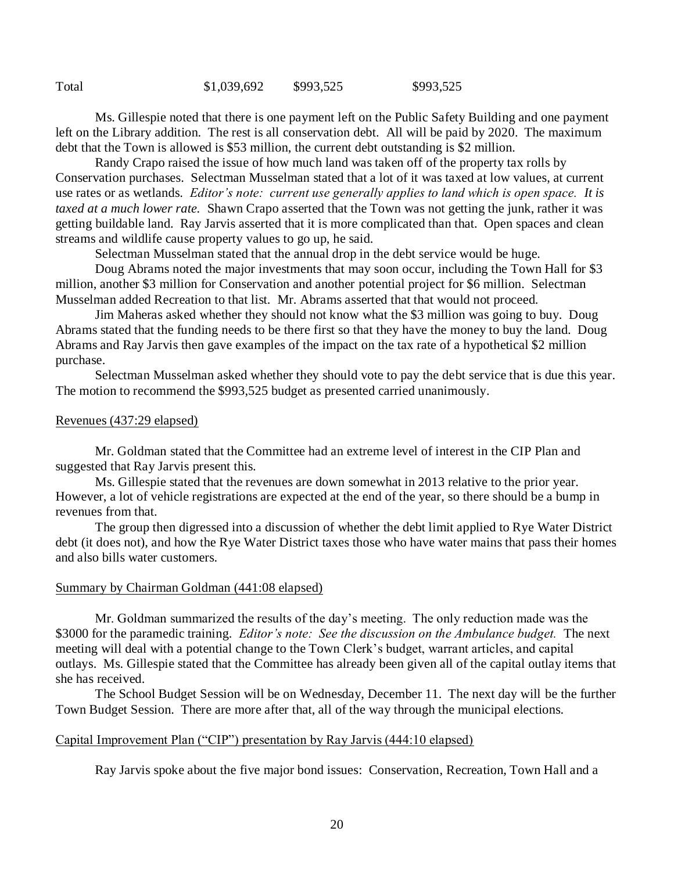Total \$1,039,692 \$993,525 \$993,525

Ms. Gillespie noted that there is one payment left on the Public Safety Building and one payment left on the Library addition. The rest is all conservation debt. All will be paid by 2020. The maximum debt that the Town is allowed is \$53 million, the current debt outstanding is \$2 million.

Randy Crapo raised the issue of how much land was taken off of the property tax rolls by Conservation purchases. Selectman Musselman stated that a lot of it was taxed at low values, at current use rates or as wetlands. *Editor's note: current use generally applies to land which is open space. It is taxed at a much lower rate.* Shawn Crapo asserted that the Town was not getting the junk, rather it was getting buildable land. Ray Jarvis asserted that it is more complicated than that. Open spaces and clean streams and wildlife cause property values to go up, he said.

Selectman Musselman stated that the annual drop in the debt service would be huge.

Doug Abrams noted the major investments that may soon occur, including the Town Hall for \$3 million, another \$3 million for Conservation and another potential project for \$6 million. Selectman Musselman added Recreation to that list. Mr. Abrams asserted that that would not proceed.

Jim Maheras asked whether they should not know what the \$3 million was going to buy. Doug Abrams stated that the funding needs to be there first so that they have the money to buy the land. Doug Abrams and Ray Jarvis then gave examples of the impact on the tax rate of a hypothetical \$2 million purchase.

Selectman Musselman asked whether they should vote to pay the debt service that is due this year. The motion to recommend the \$993,525 budget as presented carried unanimously.

#### Revenues (437:29 elapsed)

Mr. Goldman stated that the Committee had an extreme level of interest in the CIP Plan and suggested that Ray Jarvis present this.

Ms. Gillespie stated that the revenues are down somewhat in 2013 relative to the prior year. However, a lot of vehicle registrations are expected at the end of the year, so there should be a bump in revenues from that.

The group then digressed into a discussion of whether the debt limit applied to Rye Water District debt (it does not), and how the Rye Water District taxes those who have water mains that pass their homes and also bills water customers.

#### Summary by Chairman Goldman (441:08 elapsed)

Mr. Goldman summarized the results of the day's meeting. The only reduction made was the \$3000 for the paramedic training. *Editor's note: See the discussion on the Ambulance budget.* The next meeting will deal with a potential change to the Town Clerk's budget, warrant articles, and capital outlays. Ms. Gillespie stated that the Committee has already been given all of the capital outlay items that she has received.

The School Budget Session will be on Wednesday, December 11. The next day will be the further Town Budget Session. There are more after that, all of the way through the municipal elections.

## <span id="page-19-0"></span>Capital Improvement Plan ("CIP") presentation by Ray Jarvis (444:10 elapsed)

Ray Jarvis spoke about the five major bond issues: Conservation, Recreation, Town Hall and a